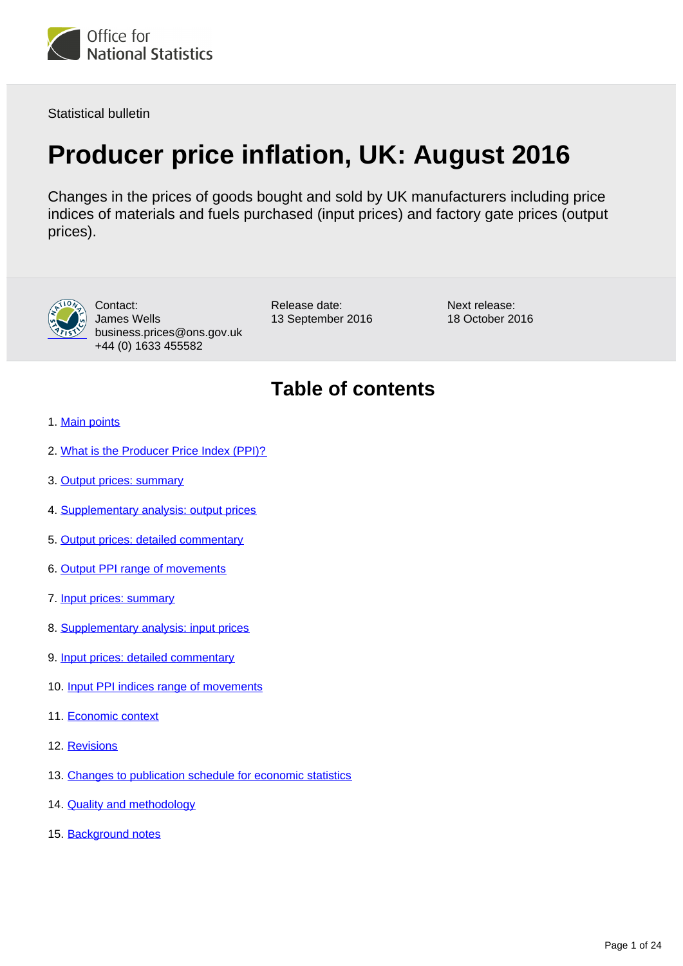

Statistical bulletin

# **Producer price inflation, UK: August 2016**

Changes in the prices of goods bought and sold by UK manufacturers including price indices of materials and fuels purchased (input prices) and factory gate prices (output prices).



Contact: James Wells business.prices@ons.gov.uk +44 (0) 1633 455582

Release date: 13 September 2016 Next release: 18 October 2016

## **Table of contents**

- 1. [Main points](#page-1-0)
- 2. [What is the Producer Price Index \(PPI\)?](#page-1-1)
- 3. [Output prices: summary](#page-2-0)
- 4. [Supplementary analysis: output prices](#page-3-0)
- 5. [Output prices: detailed commentary](#page-6-0)
- 6. [Output PPI range of movements](#page-8-0)
- 7. [Input prices: summary](#page-9-0)
- 8. [Supplementary analysis: input prices](#page-11-0)
- 9. [Input prices: detailed commentary](#page-14-0)
- 10. [Input PPI indices range of movements](#page-16-0)
- 11. [Economic context](#page-17-0)
- 12. [Revisions](#page-20-0)
- 13. [Changes to publication schedule for economic statistics](#page-21-0)
- 14. [Quality and methodology](#page-21-1)
- 15. Background notes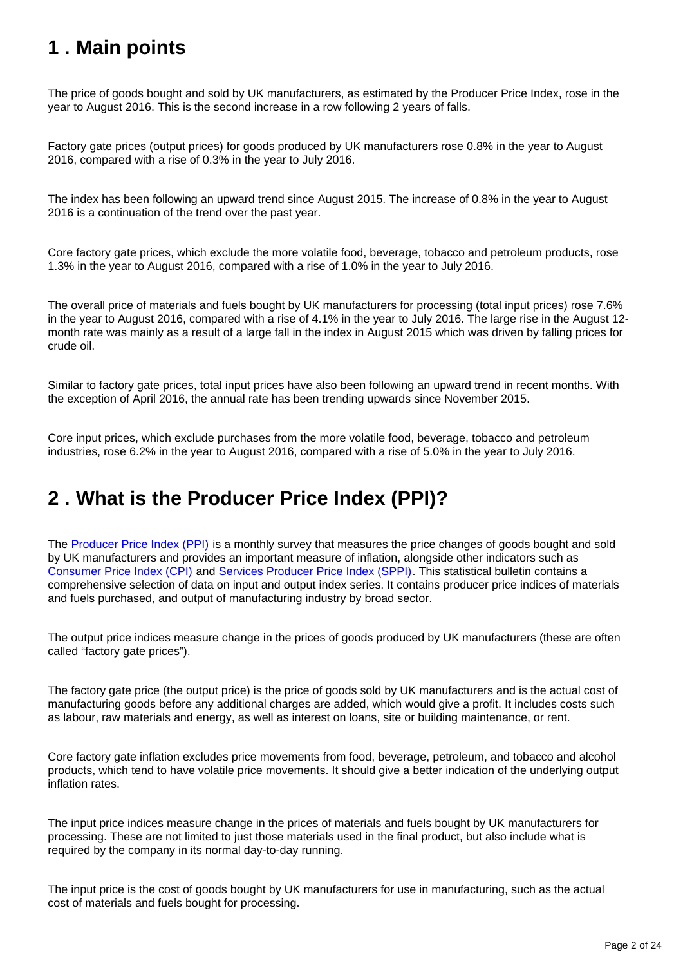## <span id="page-1-0"></span>**1 . Main points**

The price of goods bought and sold by UK manufacturers, as estimated by the Producer Price Index, rose in the year to August 2016. This is the second increase in a row following 2 years of falls.

Factory gate prices (output prices) for goods produced by UK manufacturers rose 0.8% in the year to August 2016, compared with a rise of 0.3% in the year to July 2016.

The index has been following an upward trend since August 2015. The increase of 0.8% in the year to August 2016 is a continuation of the trend over the past year.

Core factory gate prices, which exclude the more volatile food, beverage, tobacco and petroleum products, rose 1.3% in the year to August 2016, compared with a rise of 1.0% in the year to July 2016.

The overall price of materials and fuels bought by UK manufacturers for processing (total input prices) rose 7.6% in the year to August 2016, compared with a rise of 4.1% in the year to July 2016. The large rise in the August 12 month rate was mainly as a result of a large fall in the index in August 2015 which was driven by falling prices for crude oil.

Similar to factory gate prices, total input prices have also been following an upward trend in recent months. With the exception of April 2016, the annual rate has been trending upwards since November 2015.

Core input prices, which exclude purchases from the more volatile food, beverage, tobacco and petroleum industries, rose 6.2% in the year to August 2016, compared with a rise of 5.0% in the year to July 2016.

## <span id="page-1-1"></span>**2 . What is the Producer Price Index (PPI)?**

The [Producer Price Index \(PPI\)](https://www.ons.gov.uk/economy/inflationandpriceindices/bulletins/producerpriceinflation/previousReleases) is a monthly survey that measures the price changes of goods bought and sold by UK manufacturers and provides an important measure of inflation, alongside other indicators such as [Consumer Price Index \(CPI\)](https://www.ons.gov.uk/economy/inflationandpriceindices/bulletins/consumerpriceinflation/previousReleases) and [Services Producer Price Index \(SPPI\).](https://www.ons.gov.uk/economy/inflationandpriceindices/bulletins/servicesproducerpriceindices/previousReleases) This statistical bulletin contains a comprehensive selection of data on input and output index series. It contains producer price indices of materials and fuels purchased, and output of manufacturing industry by broad sector.

The output price indices measure change in the prices of goods produced by UK manufacturers (these are often called "factory gate prices").

The factory gate price (the output price) is the price of goods sold by UK manufacturers and is the actual cost of manufacturing goods before any additional charges are added, which would give a profit. It includes costs such as labour, raw materials and energy, as well as interest on loans, site or building maintenance, or rent.

Core factory gate inflation excludes price movements from food, beverage, petroleum, and tobacco and alcohol products, which tend to have volatile price movements. It should give a better indication of the underlying output inflation rates.

The input price indices measure change in the prices of materials and fuels bought by UK manufacturers for processing. These are not limited to just those materials used in the final product, but also include what is required by the company in its normal day-to-day running.

The input price is the cost of goods bought by UK manufacturers for use in manufacturing, such as the actual cost of materials and fuels bought for processing.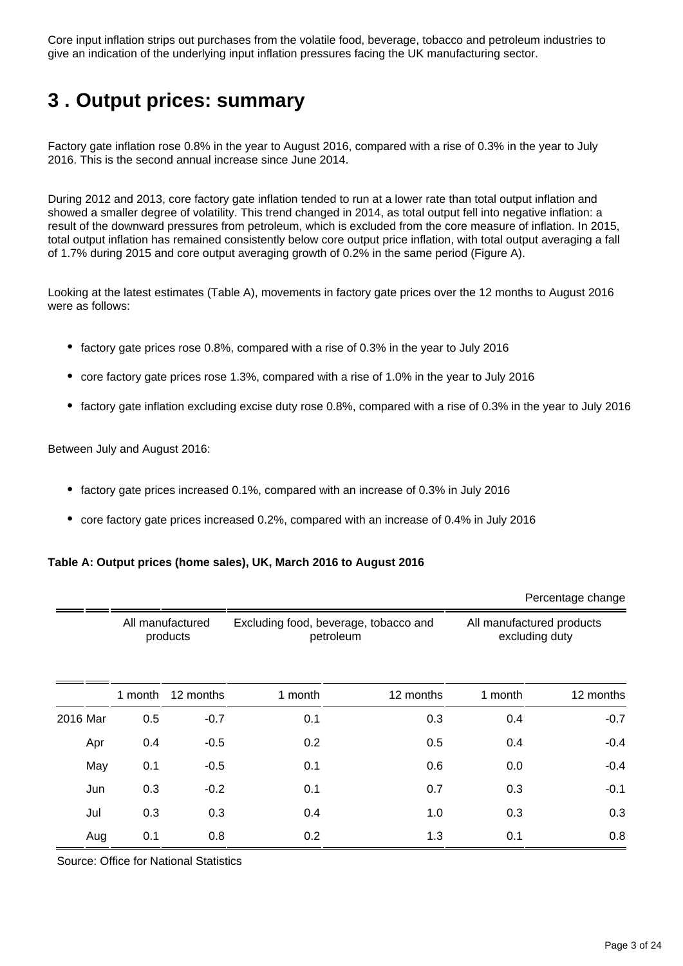Core input inflation strips out purchases from the volatile food, beverage, tobacco and petroleum industries to give an indication of the underlying input inflation pressures facing the UK manufacturing sector.

## <span id="page-2-0"></span>**3 . Output prices: summary**

Factory gate inflation rose 0.8% in the year to August 2016, compared with a rise of 0.3% in the year to July 2016. This is the second annual increase since June 2014.

During 2012 and 2013, core factory gate inflation tended to run at a lower rate than total output inflation and showed a smaller degree of volatility. This trend changed in 2014, as total output fell into negative inflation: a result of the downward pressures from petroleum, which is excluded from the core measure of inflation. In 2015, total output inflation has remained consistently below core output price inflation, with total output averaging a fall of 1.7% during 2015 and core output averaging growth of 0.2% in the same period (Figure A).

Looking at the latest estimates (Table A), movements in factory gate prices over the 12 months to August 2016 were as follows:

- $\bullet$  factory gate prices rose 0.8%, compared with a rise of 0.3% in the year to July 2016
- core factory gate prices rose 1.3%, compared with a rise of 1.0% in the year to July 2016
- factory gate inflation excluding excise duty rose 0.8%, compared with a rise of 0.3% in the year to July 2016

Between July and August 2016:

- factory gate prices increased 0.1%, compared with an increase of 0.3% in July 2016
- core factory gate prices increased 0.2%, compared with an increase of 0.4% in July 2016

#### **Table A: Output prices (home sales), UK, March 2016 to August 2016**

|          |                              |           |                                                    |           |                                             | Percentage change |
|----------|------------------------------|-----------|----------------------------------------------------|-----------|---------------------------------------------|-------------------|
|          | All manufactured<br>products |           | Excluding food, beverage, tobacco and<br>petroleum |           | All manufactured products<br>excluding duty |                   |
|          | 1 month                      | 12 months | 1 month                                            | 12 months | 1 month                                     | 12 months         |
| 2016 Mar | 0.5                          | $-0.7$    | 0.1                                                | 0.3       | 0.4                                         | $-0.7$            |
| Apr      | 0.4                          | $-0.5$    | 0.2                                                | 0.5       | 0.4                                         | $-0.4$            |
| May      | 0.1                          | $-0.5$    | 0.1                                                | 0.6       | 0.0                                         | $-0.4$            |
| Jun      | 0.3                          | $-0.2$    | 0.1                                                | 0.7       | 0.3                                         | $-0.1$            |
| Jul      | 0.3                          | 0.3       | 0.4                                                | 1.0       | 0.3                                         | 0.3               |
| Aug      | 0.1                          | 0.8       | 0.2                                                | 1.3       | 0.1                                         | 0.8               |

Source: Office for National Statistics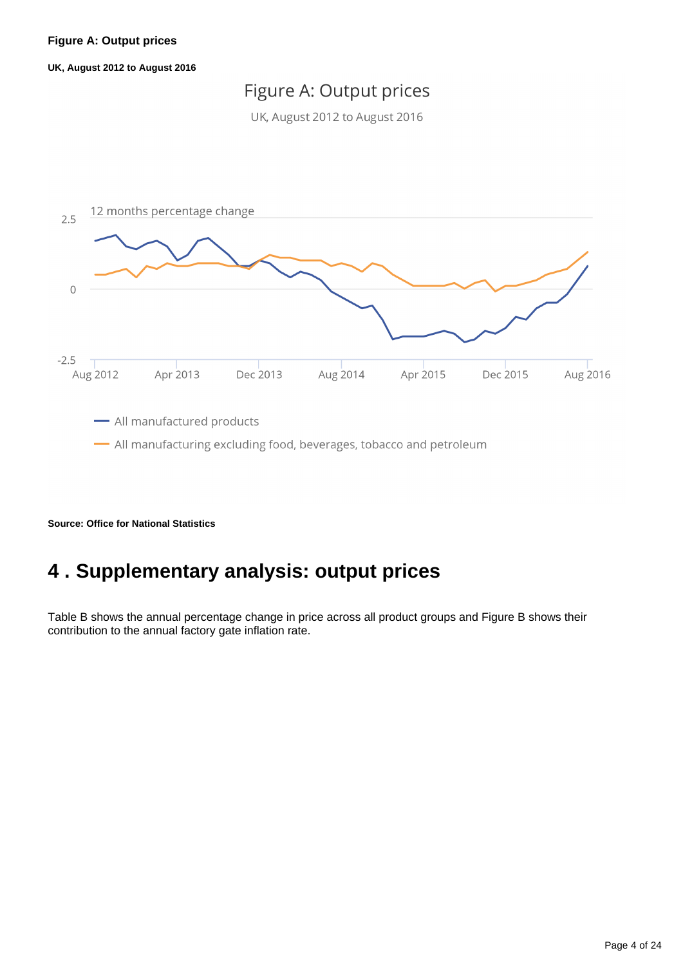**UK, August 2012 to August 2016**

## Figure A: Output prices

UK, August 2012 to August 2016



**Source: Office for National Statistics**

## <span id="page-3-0"></span>**4 . Supplementary analysis: output prices**

Table B shows the annual percentage change in price across all product groups and Figure B shows their contribution to the annual factory gate inflation rate.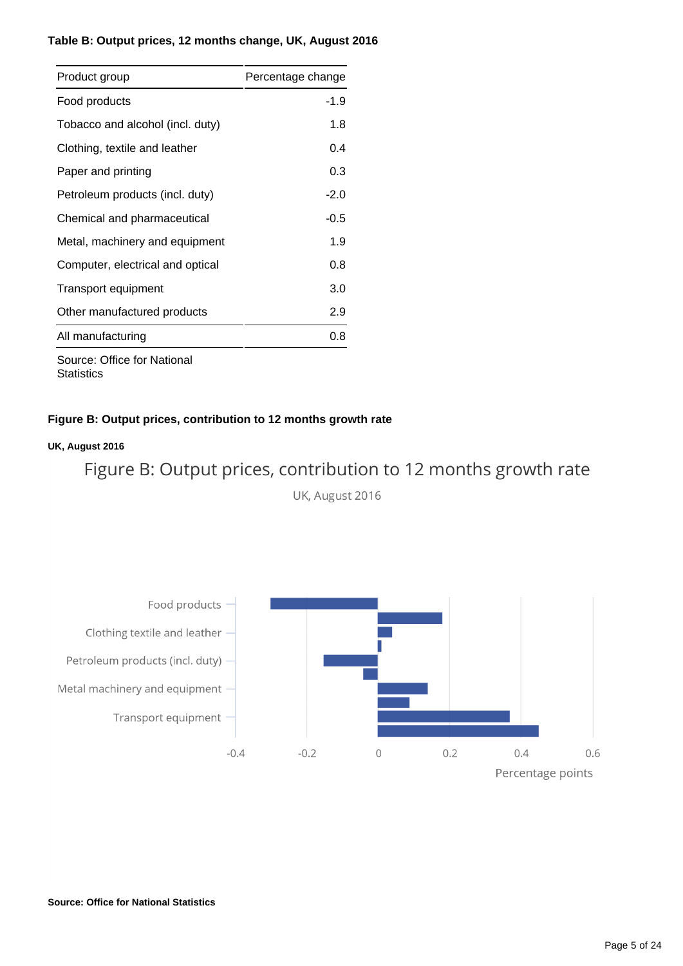### **Table B: Output prices, 12 months change, UK, August 2016**

| Product group                      | Percentage change |
|------------------------------------|-------------------|
| Food products                      | $-1.9$            |
| Tobacco and alcohol (incl. duty)   | 1.8               |
| Clothing, textile and leather      | 0.4               |
| Paper and printing                 | 0.3               |
| Petroleum products (incl. duty)    | $-2.0$            |
| Chemical and pharmaceutical        | $-0.5$            |
| Metal, machinery and equipment     | 1.9               |
| Computer, electrical and optical   | 0.8               |
| Transport equipment                | 3.0               |
| Other manufactured products        | 2.9               |
| All manufacturing                  | 0.8               |
| <b>Cource: Office for National</b> |                   |

Source: Office for National **Statistics** 

### **Figure B: Output prices, contribution to 12 months growth rate**

### **UK, August 2016**

Figure B: Output prices, contribution to 12 months growth rate

UK, August 2016

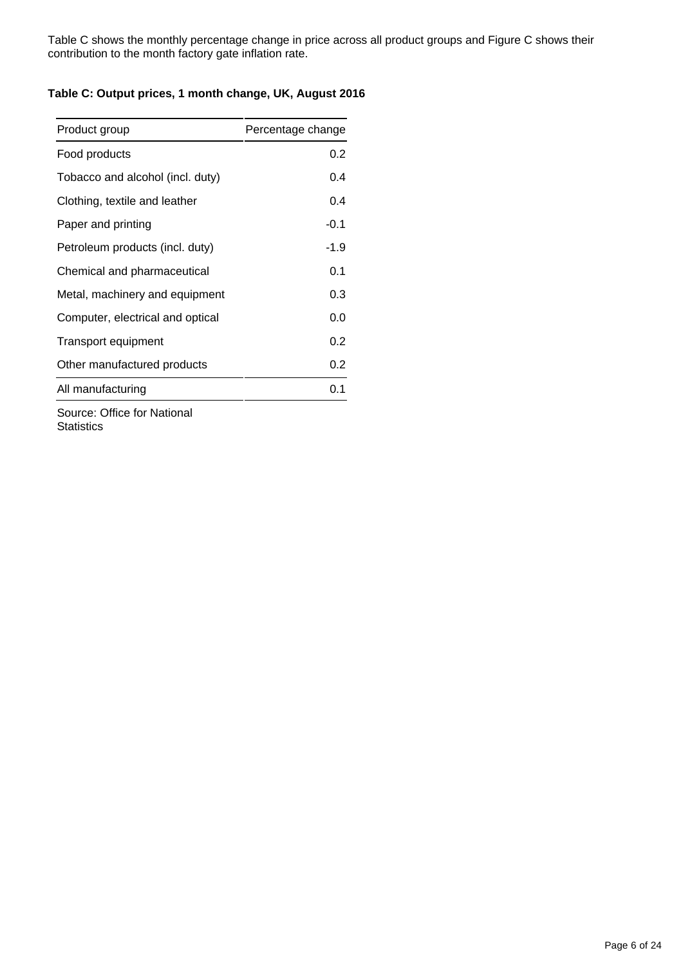Table C shows the monthly percentage change in price across all product groups and Figure C shows their contribution to the month factory gate inflation rate.

### **Table C: Output prices, 1 month change, UK, August 2016**

| Product group                    | Percentage change |
|----------------------------------|-------------------|
| Food products                    | 0.2               |
| Tobacco and alcohol (incl. duty) | 0.4               |
| Clothing, textile and leather    | 0.4               |
| Paper and printing               | $-0.1$            |
| Petroleum products (incl. duty)  | $-1.9$            |
| Chemical and pharmaceutical      | 0.1               |
| Metal, machinery and equipment   | 0.3               |
| Computer, electrical and optical | 0.0               |
| <b>Transport equipment</b>       | 0.2               |
| Other manufactured products      | 0.2               |
| All manufacturing                | 0.1               |
|                                  |                   |

Source: Office for National **Statistics**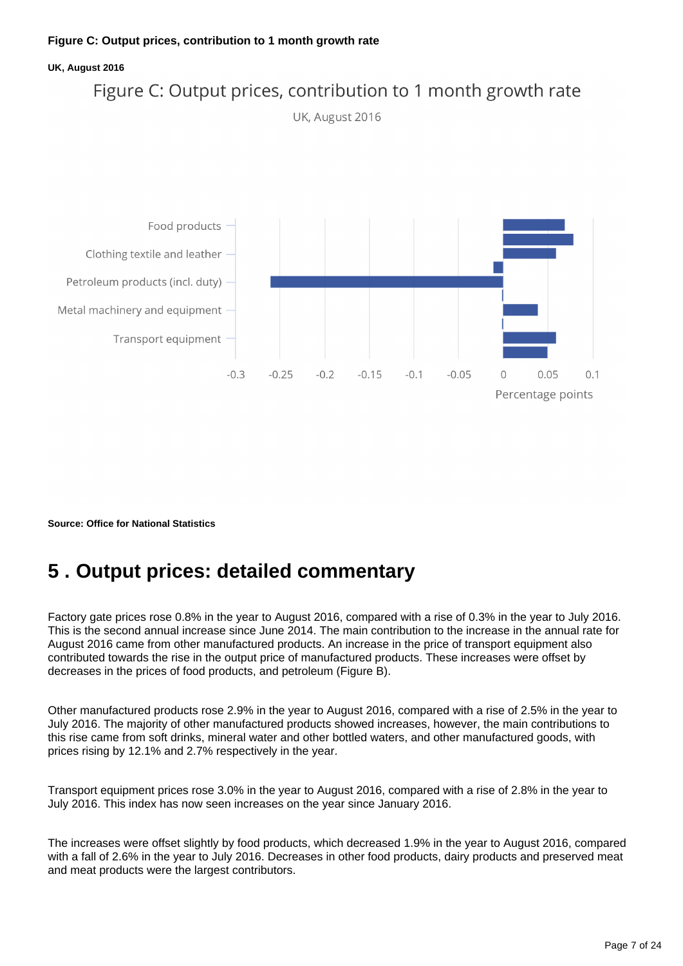#### **UK, August 2016**



**Source: Office for National Statistics**

## <span id="page-6-0"></span>**5 . Output prices: detailed commentary**

Factory gate prices rose 0.8% in the year to August 2016, compared with a rise of 0.3% in the year to July 2016. This is the second annual increase since June 2014. The main contribution to the increase in the annual rate for August 2016 came from other manufactured products. An increase in the price of transport equipment also contributed towards the rise in the output price of manufactured products. These increases were offset by decreases in the prices of food products, and petroleum (Figure B).

Other manufactured products rose 2.9% in the year to August 2016, compared with a rise of 2.5% in the year to July 2016. The majority of other manufactured products showed increases, however, the main contributions to this rise came from soft drinks, mineral water and other bottled waters, and other manufactured goods, with prices rising by 12.1% and 2.7% respectively in the year.

Transport equipment prices rose 3.0% in the year to August 2016, compared with a rise of 2.8% in the year to July 2016. This index has now seen increases on the year since January 2016.

The increases were offset slightly by food products, which decreased 1.9% in the year to August 2016, compared with a fall of 2.6% in the year to July 2016. Decreases in other food products, dairy products and preserved meat and meat products were the largest contributors.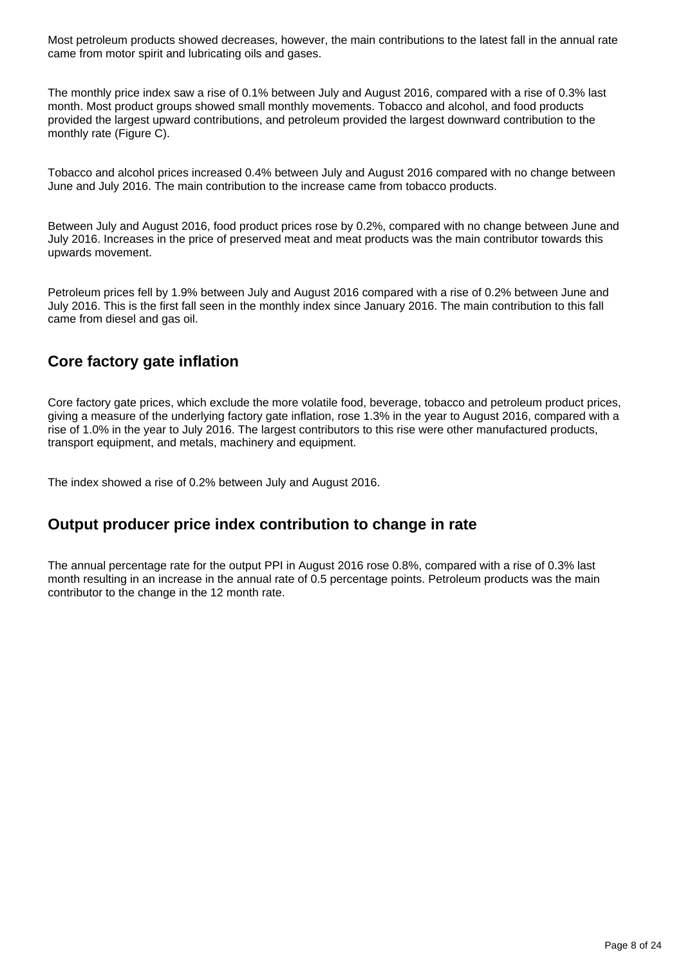Most petroleum products showed decreases, however, the main contributions to the latest fall in the annual rate came from motor spirit and lubricating oils and gases.

The monthly price index saw a rise of 0.1% between July and August 2016, compared with a rise of 0.3% last month. Most product groups showed small monthly movements. Tobacco and alcohol, and food products provided the largest upward contributions, and petroleum provided the largest downward contribution to the monthly rate (Figure C).

Tobacco and alcohol prices increased 0.4% between July and August 2016 compared with no change between June and July 2016. The main contribution to the increase came from tobacco products.

Between July and August 2016, food product prices rose by 0.2%, compared with no change between June and July 2016. Increases in the price of preserved meat and meat products was the main contributor towards this upwards movement.

Petroleum prices fell by 1.9% between July and August 2016 compared with a rise of 0.2% between June and July 2016. This is the first fall seen in the monthly index since January 2016. The main contribution to this fall came from diesel and gas oil.

## **Core factory gate inflation**

Core factory gate prices, which exclude the more volatile food, beverage, tobacco and petroleum product prices, giving a measure of the underlying factory gate inflation, rose 1.3% in the year to August 2016, compared with a rise of 1.0% in the year to July 2016. The largest contributors to this rise were other manufactured products, transport equipment, and metals, machinery and equipment.

The index showed a rise of 0.2% between July and August 2016.

### **Output producer price index contribution to change in rate**

The annual percentage rate for the output PPI in August 2016 rose 0.8%, compared with a rise of 0.3% last month resulting in an increase in the annual rate of 0.5 percentage points. Petroleum products was the main contributor to the change in the 12 month rate.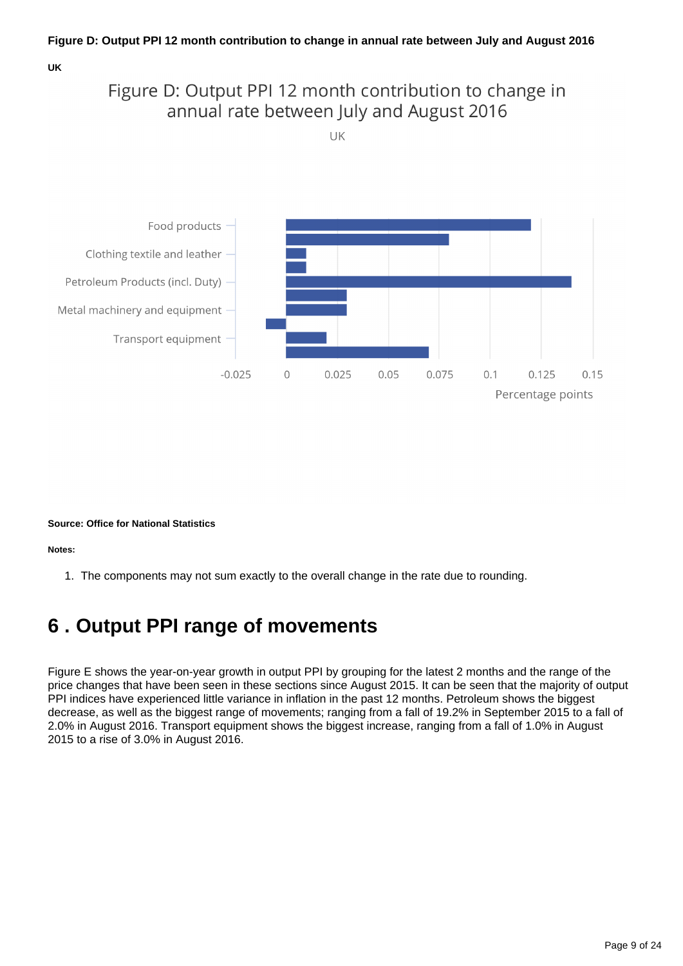**UK**

## Figure D: Output PPI 12 month contribution to change in annual rate between July and August 2016

UK



**Source: Office for National Statistics**

**Notes:**

1. The components may not sum exactly to the overall change in the rate due to rounding.

## <span id="page-8-0"></span>**6 . Output PPI range of movements**

Figure E shows the year-on-year growth in output PPI by grouping for the latest 2 months and the range of the price changes that have been seen in these sections since August 2015. It can be seen that the majority of output PPI indices have experienced little variance in inflation in the past 12 months. Petroleum shows the biggest decrease, as well as the biggest range of movements; ranging from a fall of 19.2% in September 2015 to a fall of 2.0% in August 2016. Transport equipment shows the biggest increase, ranging from a fall of 1.0% in August 2015 to a rise of 3.0% in August 2016.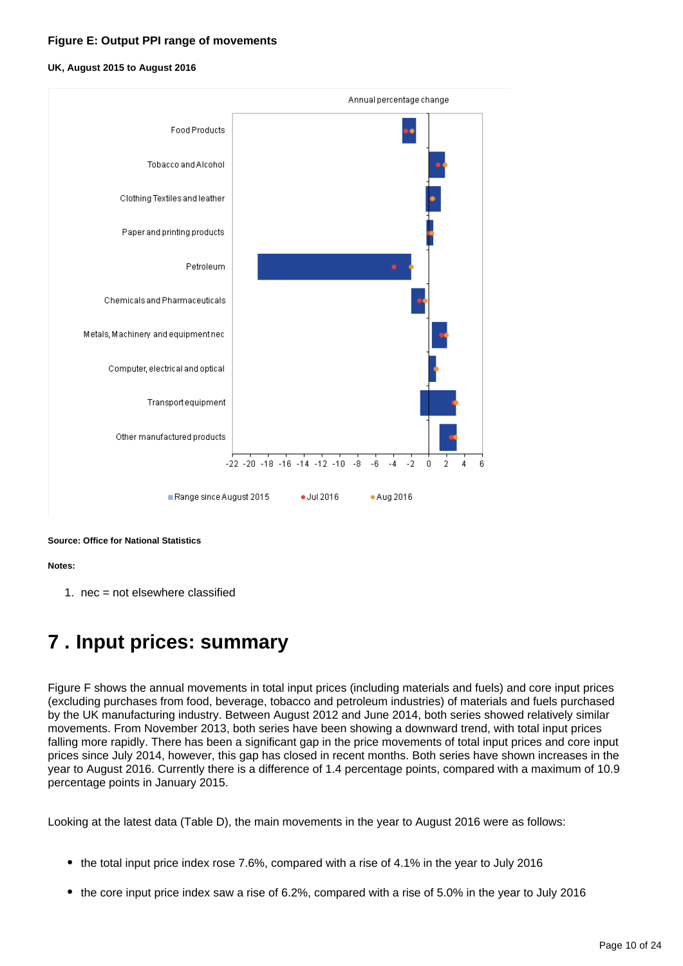#### **Figure E: Output PPI range of movements**

#### **UK, August 2015 to August 2016**



**Source: Office for National Statistics**

#### **Notes:**

1. nec = not elsewhere classified

## <span id="page-9-0"></span>**7 . Input prices: summary**

Figure F shows the annual movements in total input prices (including materials and fuels) and core input prices (excluding purchases from food, beverage, tobacco and petroleum industries) of materials and fuels purchased by the UK manufacturing industry. Between August 2012 and June 2014, both series showed relatively similar movements. From November 2013, both series have been showing a downward trend, with total input prices falling more rapidly. There has been a significant gap in the price movements of total input prices and core input prices since July 2014, however, this gap has closed in recent months. Both series have shown increases in the year to August 2016. Currently there is a difference of 1.4 percentage points, compared with a maximum of 10.9 percentage points in January 2015.

Looking at the latest data (Table D), the main movements in the year to August 2016 were as follows:

- the total input price index rose 7.6%, compared with a rise of 4.1% in the year to July 2016
- the core input price index saw a rise of 6.2%, compared with a rise of 5.0% in the year to July 2016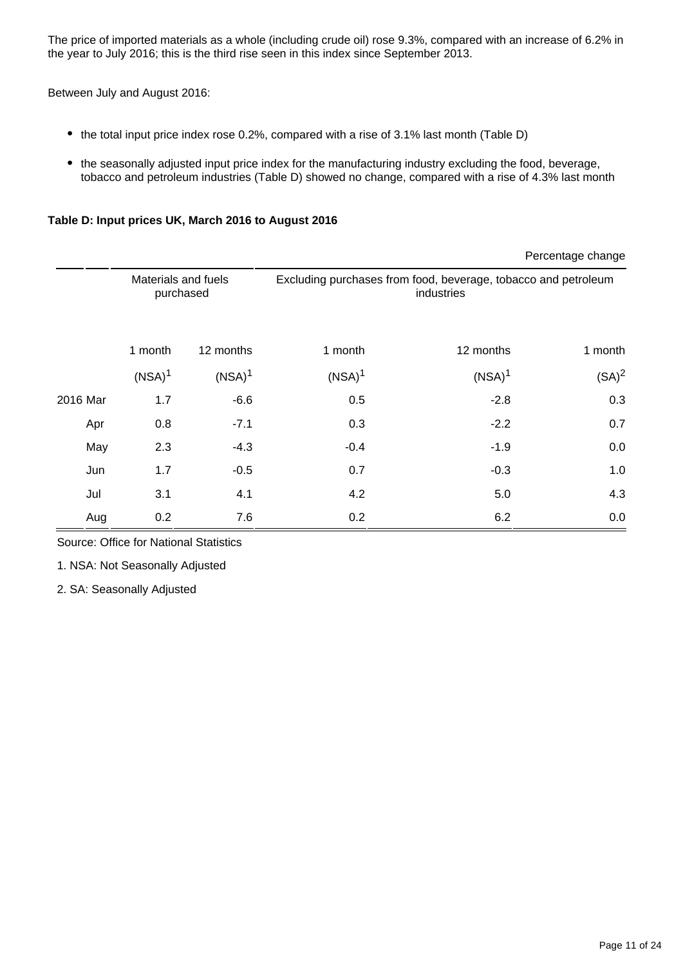The price of imported materials as a whole (including crude oil) rose 9.3%, compared with an increase of 6.2% in the year to July 2016; this is the third rise seen in this index since September 2013.

Between July and August 2016:

- the total input price index rose 0.2%, compared with a rise of 3.1% last month (Table D)
- the seasonally adjusted input price index for the manufacturing industry excluding the food, beverage, tobacco and petroleum industries (Table D) showed no change, compared with a rise of 4.3% last month

### **Table D: Input prices UK, March 2016 to August 2016**

|          |                                  |                    |                                                                              |                    | Percentage change |
|----------|----------------------------------|--------------------|------------------------------------------------------------------------------|--------------------|-------------------|
|          | Materials and fuels<br>purchased |                    | Excluding purchases from food, beverage, tobacco and petroleum<br>industries |                    |                   |
|          | 1 month                          | 12 months          | 1 month                                                                      | 12 months          | 1 month           |
|          | (NSA) <sup>1</sup>               | (NSA) <sup>1</sup> | (NSA) <sup>1</sup>                                                           | (NSA) <sup>1</sup> | $(SA)^2$          |
| 2016 Mar | 1.7                              | $-6.6$             | 0.5                                                                          | $-2.8$             | 0.3               |
| Apr      | 0.8                              | $-7.1$             | 0.3                                                                          | $-2.2$             | 0.7               |
| May      | 2.3                              | $-4.3$             | $-0.4$                                                                       | $-1.9$             | 0.0               |
| Jun      | 1.7                              | $-0.5$             | 0.7                                                                          | $-0.3$             | 1.0               |
| Jul      | 3.1                              | 4.1                | 4.2                                                                          | 5.0                | 4.3               |
| Aug      | 0.2                              | 7.6                | 0.2                                                                          | 6.2                | 0.0               |

Source: Office for National Statistics

1. NSA: Not Seasonally Adjusted

2. SA: Seasonally Adjusted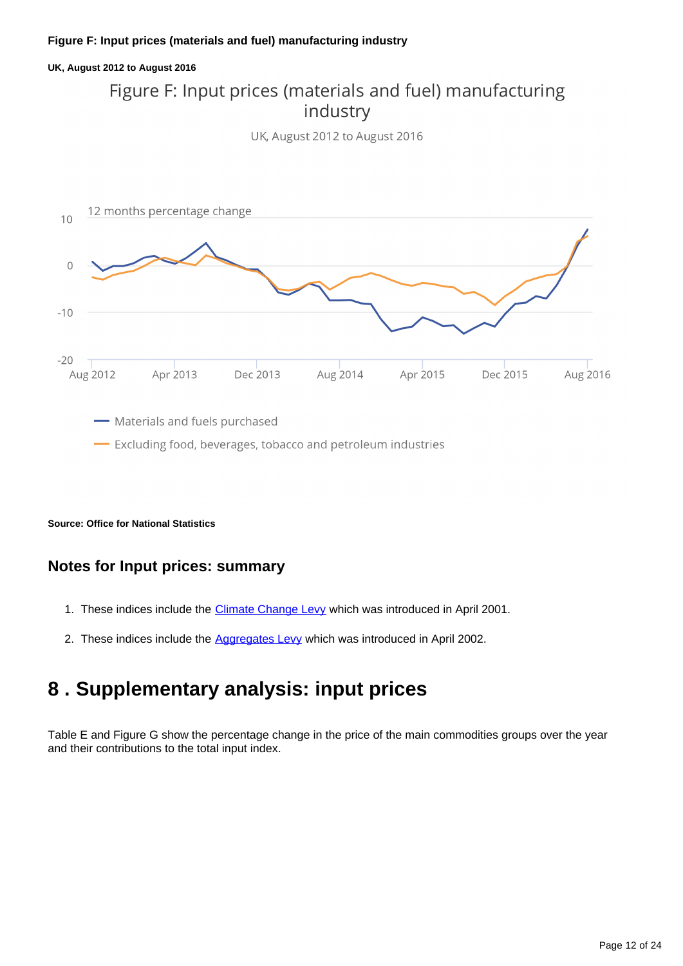#### **Figure F: Input prices (materials and fuel) manufacturing industry**

# **UK, August 2012 to August 2016** Figure F: Input prices (materials and fuel) manufacturing industry UK, August 2012 to August 2016 12 months percentage change  $10$



**Source: Office for National Statistics**

### **Notes for Input prices: summary**

- 1. These indices include the *[Climate Change Levy](https://www.gov.uk/green-taxes-and-reliefs/climate-change-levy)* which was introduced in April 2001.
- 2. These indices include the [Aggregates Levy](https://www.ons.gov.uk/economy/inflationandpriceindices/qmis/producerpriceindicesqmi) which was introduced in April 2002.

## <span id="page-11-0"></span>**8 . Supplementary analysis: input prices**

Table E and Figure G show the percentage change in the price of the main commodities groups over the year and their contributions to the total input index.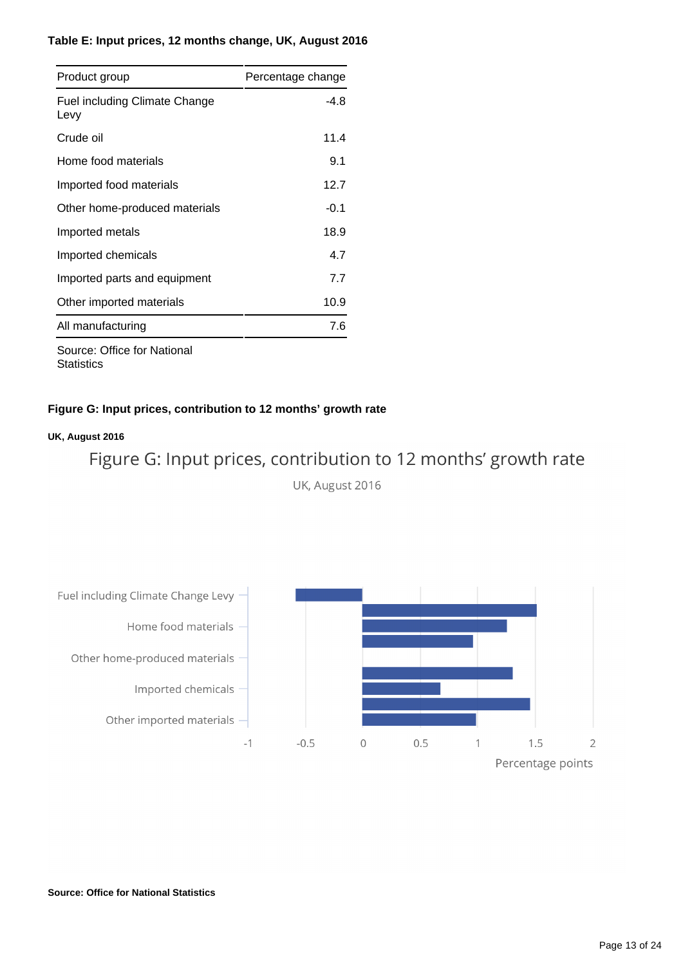### **Table E: Input prices, 12 months change, UK, August 2016**

| Product group                                | Percentage change |
|----------------------------------------------|-------------------|
| <b>Fuel including Climate Change</b><br>Levy | -4.8              |
| Crude oil                                    | 11.4              |
| Home food materials                          | 9.1               |
| Imported food materials                      | 12.7              |
| Other home-produced materials                | $-0.1$            |
| Imported metals                              | 18.9              |
| Imported chemicals                           | 4.7               |
| Imported parts and equipment                 | 7.7               |
| Other imported materials                     | 10.9              |
| All manufacturing                            | 7.6               |

Source: Office for National **Statistics** 

### **Figure G: Input prices, contribution to 12 months' growth rate**

### **UK, August 2016**

Figure G: Input prices, contribution to 12 months' growth rate

UK, August 2016



**Source: Office for National Statistics**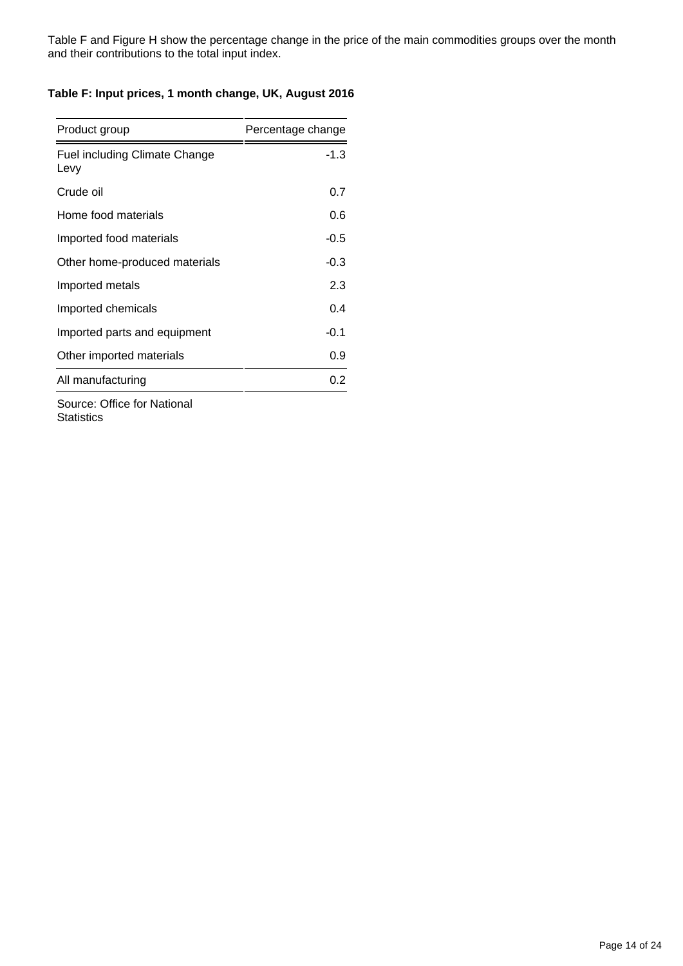Table F and Figure H show the percentage change in the price of the main commodities groups over the month and their contributions to the total input index.

#### **Table F: Input prices, 1 month change, UK, August 2016**

| Product group                                | Percentage change |
|----------------------------------------------|-------------------|
| <b>Fuel including Climate Change</b><br>Levy | $-1.3$            |
| Crude oil                                    | 0.7               |
| Home food materials                          | 0.6               |
| Imported food materials                      | $-0.5$            |
| Other home-produced materials                | $-0.3$            |
| Imported metals                              | 2.3               |
| Imported chemicals                           | 0.4               |
| Imported parts and equipment                 | $-0.1$            |
| Other imported materials                     | 0.9               |
| All manufacturing                            | 0.2               |
|                                              |                   |

Source: Office for National **Statistics**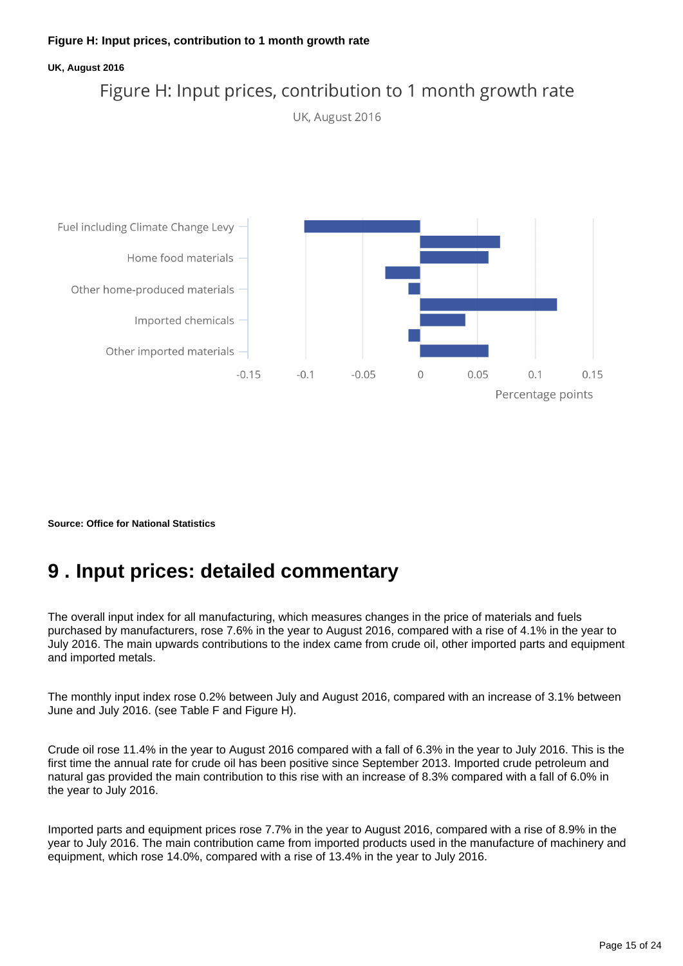#### **UK, August 2016**



**Source: Office for National Statistics**

## <span id="page-14-0"></span>**9 . Input prices: detailed commentary**

The overall input index for all manufacturing, which measures changes in the price of materials and fuels purchased by manufacturers, rose 7.6% in the year to August 2016, compared with a rise of 4.1% in the year to July 2016. The main upwards contributions to the index came from crude oil, other imported parts and equipment and imported metals.

The monthly input index rose 0.2% between July and August 2016, compared with an increase of 3.1% between June and July 2016. (see Table F and Figure H).

Crude oil rose 11.4% in the year to August 2016 compared with a fall of 6.3% in the year to July 2016. This is the first time the annual rate for crude oil has been positive since September 2013. Imported crude petroleum and natural gas provided the main contribution to this rise with an increase of 8.3% compared with a fall of 6.0% in the year to July 2016.

Imported parts and equipment prices rose 7.7% in the year to August 2016, compared with a rise of 8.9% in the year to July 2016. The main contribution came from imported products used in the manufacture of machinery and equipment, which rose 14.0%, compared with a rise of 13.4% in the year to July 2016.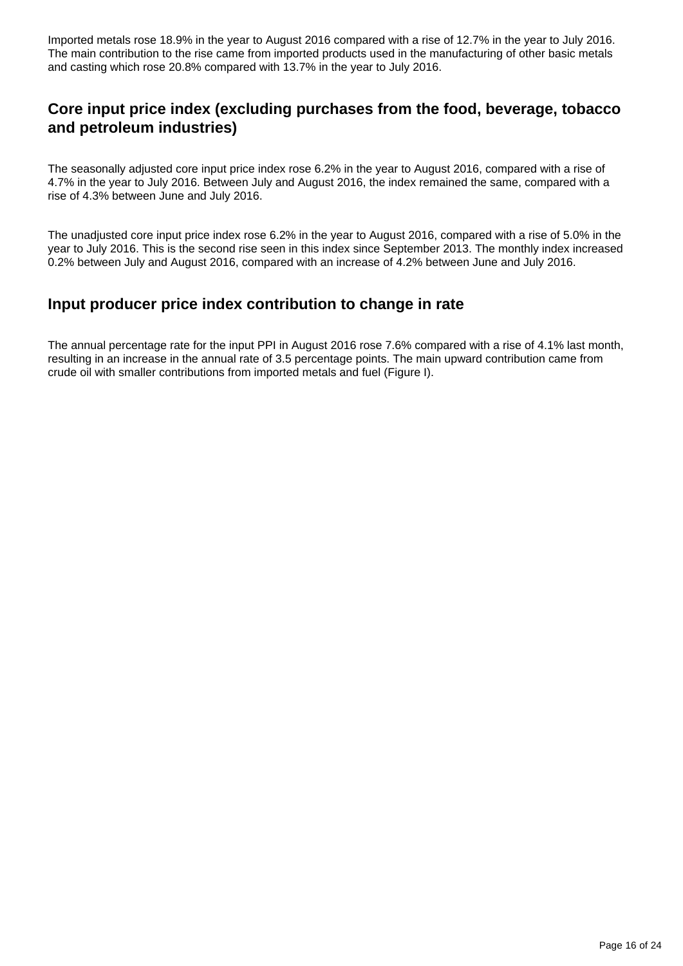Imported metals rose 18.9% in the year to August 2016 compared with a rise of 12.7% in the year to July 2016. The main contribution to the rise came from imported products used in the manufacturing of other basic metals and casting which rose 20.8% compared with 13.7% in the year to July 2016.

## **Core input price index (excluding purchases from the food, beverage, tobacco and petroleum industries)**

The seasonally adjusted core input price index rose 6.2% in the year to August 2016, compared with a rise of 4.7% in the year to July 2016. Between July and August 2016, the index remained the same, compared with a rise of 4.3% between June and July 2016.

The unadjusted core input price index rose 6.2% in the year to August 2016, compared with a rise of 5.0% in the year to July 2016. This is the second rise seen in this index since September 2013. The monthly index increased 0.2% between July and August 2016, compared with an increase of 4.2% between June and July 2016.

### **Input producer price index contribution to change in rate**

The annual percentage rate for the input PPI in August 2016 rose 7.6% compared with a rise of 4.1% last month, resulting in an increase in the annual rate of 3.5 percentage points. The main upward contribution came from crude oil with smaller contributions from imported metals and fuel (Figure I).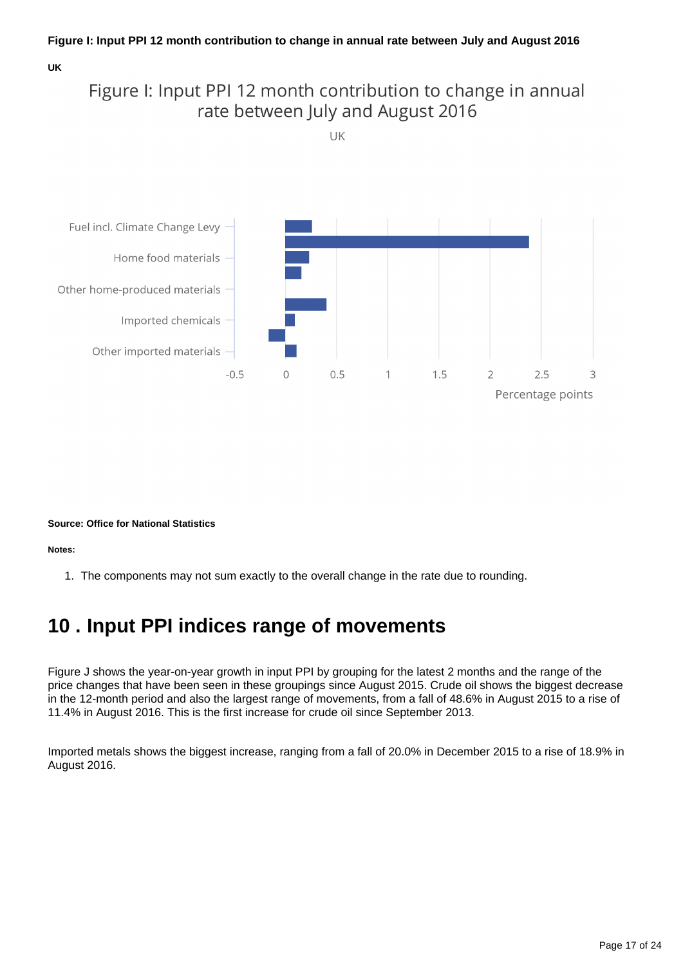#### **UK**

## Figure I: Input PPI 12 month contribution to change in annual rate between July and August 2016

UK



#### **Source: Office for National Statistics**

**Notes:**

1. The components may not sum exactly to the overall change in the rate due to rounding.

## <span id="page-16-0"></span>**10 . Input PPI indices range of movements**

Figure J shows the year-on-year growth in input PPI by grouping for the latest 2 months and the range of the price changes that have been seen in these groupings since August 2015. Crude oil shows the biggest decrease in the 12-month period and also the largest range of movements, from a fall of 48.6% in August 2015 to a rise of 11.4% in August 2016. This is the first increase for crude oil since September 2013.

Imported metals shows the biggest increase, ranging from a fall of 20.0% in December 2015 to a rise of 18.9% in August 2016.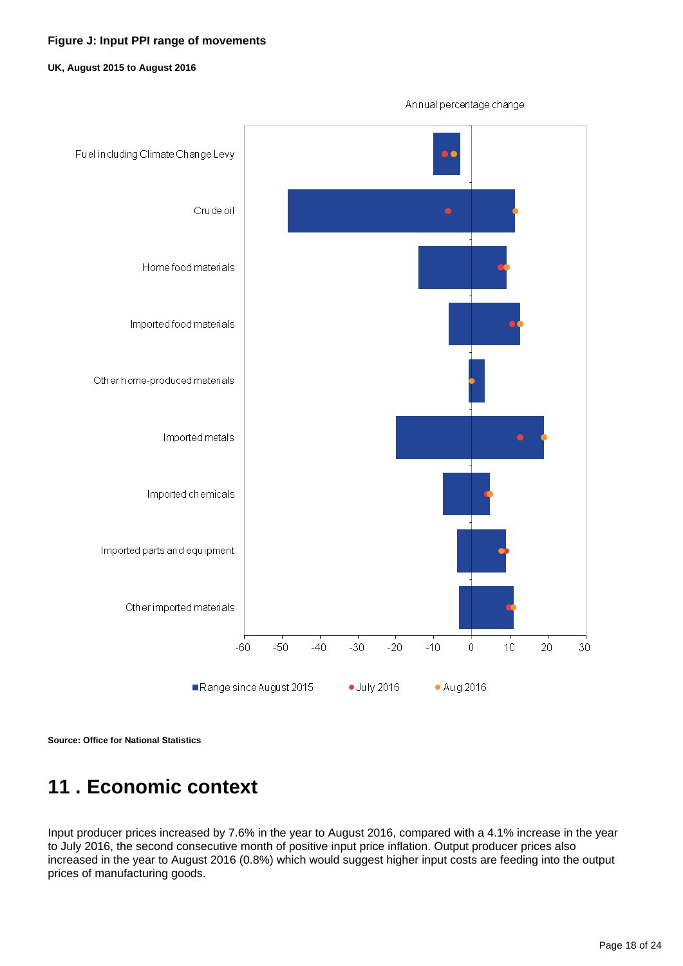### **Figure J: Input PPI range of movements**

#### **UK, August 2015 to August 2016**



**Source: Office for National Statistics**

# <span id="page-17-0"></span>**11 . Economic context**

Input producer prices increased by 7.6% in the year to August 2016, compared with a 4.1% increase in the year to July 2016, the second consecutive month of positive input price inflation. Output producer prices also increased in the year to August 2016 (0.8%) which would suggest higher input costs are feeding into the output prices of manufacturing goods.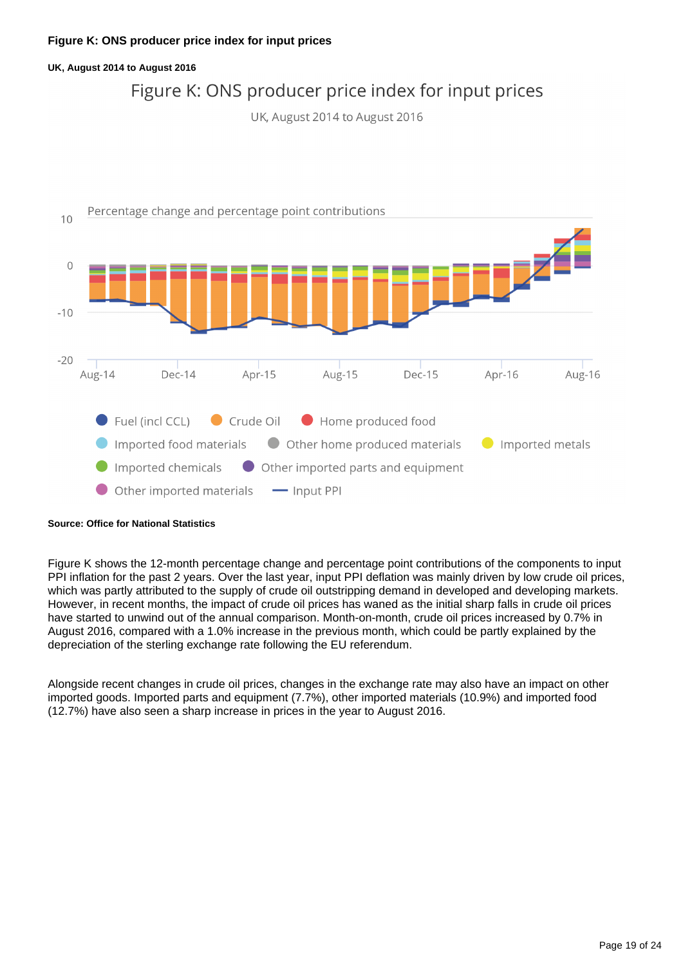#### **Figure K: ONS producer price index for input prices**

#### **UK, August 2014 to August 2016**

## Figure K: ONS producer price index for input prices

UK, August 2014 to August 2016



#### **Source: Office for National Statistics**

Figure K shows the 12-month percentage change and percentage point contributions of the components to input PPI inflation for the past 2 years. Over the last year, input PPI deflation was mainly driven by low crude oil prices, which was partly attributed to the supply of crude oil outstripping demand in developed and developing markets. However, in recent months, the impact of crude oil prices has waned as the initial sharp falls in crude oil prices have started to unwind out of the annual comparison. Month-on-month, crude oil prices increased by 0.7% in August 2016, compared with a 1.0% increase in the previous month, which could be partly explained by the depreciation of the sterling exchange rate following the EU referendum.

Alongside recent changes in crude oil prices, changes in the exchange rate may also have an impact on other imported goods. Imported parts and equipment (7.7%), other imported materials (10.9%) and imported food (12.7%) have also seen a sharp increase in prices in the year to August 2016.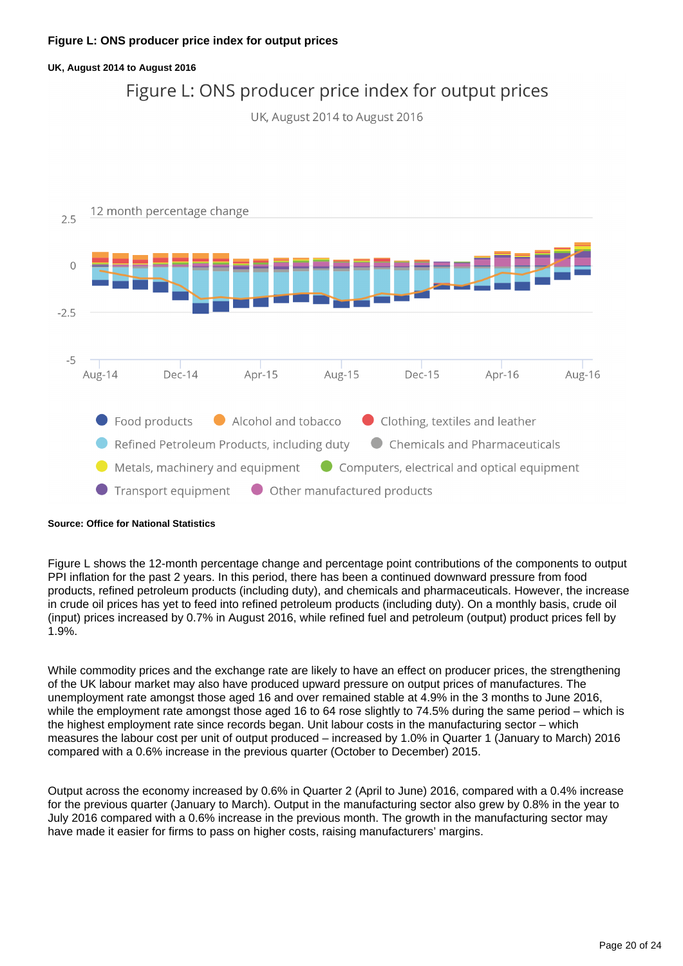#### **Figure L: ONS producer price index for output prices**

## **UK, August 2014 to August 2016** Figure L: ONS producer price index for output prices UK, August 2014 to August 2016 12 month percentage change  $2.5$  $\overline{0}$  $-2.5$  $-5$ Apr- $16$ Aug-16 Aug-14  $Dec-14$ Apr-15 Aug-15  $Dec-15$ Food products Alcohol and tobacco Clothing, textiles and leather Refined Petroleum Products, including duty Chemicals and Pharmaceuticals  $\bullet$  Metals, machinery and equipment Computers, electrical and optical equipment Transport equipment O Other manufactured products

#### **Source: Office for National Statistics**

Figure L shows the 12-month percentage change and percentage point contributions of the components to output PPI inflation for the past 2 years. In this period, there has been a continued downward pressure from food products, refined petroleum products (including duty), and chemicals and pharmaceuticals. However, the increase in crude oil prices has yet to feed into refined petroleum products (including duty). On a monthly basis, crude oil (input) prices increased by 0.7% in August 2016, while refined fuel and petroleum (output) product prices fell by 1.9%.

While commodity prices and the exchange rate are likely to have an effect on producer prices, the strengthening of the UK labour market may also have produced upward pressure on output prices of manufactures. The unemployment rate amongst those aged 16 and over remained stable at 4.9% in the 3 months to June 2016, while the employment rate amongst those aged 16 to 64 rose slightly to 74.5% during the same period – which is the highest employment rate since records began. Unit labour costs in the manufacturing sector – which measures the labour cost per unit of output produced – increased by 1.0% in Quarter 1 (January to March) 2016 compared with a 0.6% increase in the previous quarter (October to December) 2015.

Output across the economy increased by 0.6% in Quarter 2 (April to June) 2016, compared with a 0.4% increase for the previous quarter (January to March). Output in the manufacturing sector also grew by 0.8% in the year to July 2016 compared with a 0.6% increase in the previous month. The growth in the manufacturing sector may have made it easier for firms to pass on higher costs, raising manufacturers' margins.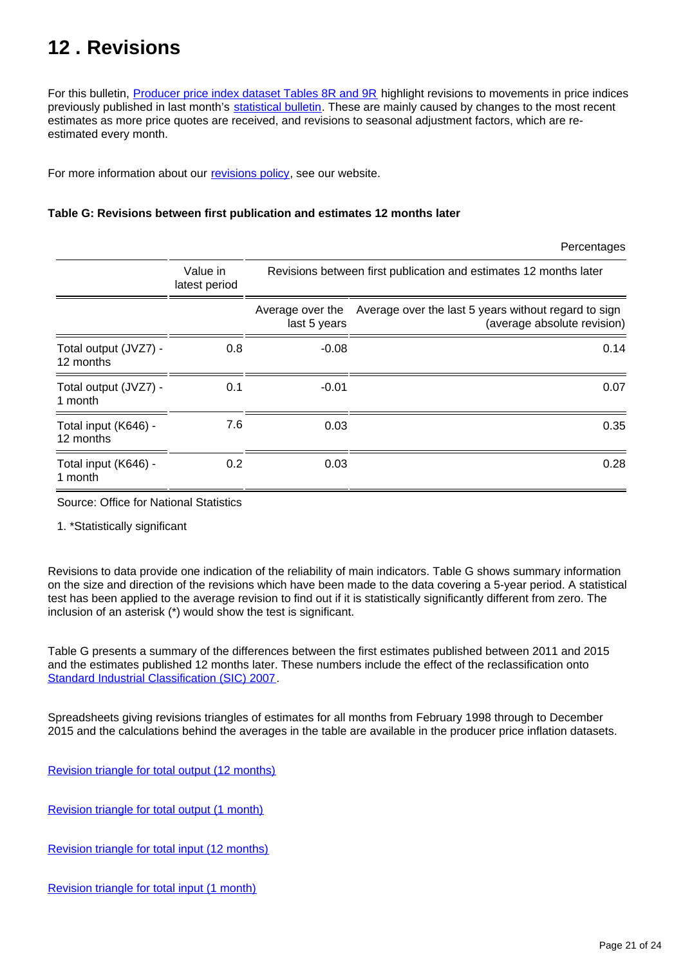## <span id="page-20-0"></span>**12 . Revisions**

For this bulletin, **Producer price index dataset Tables 8R and 9R** highlight revisions to movements in price indices previously published in last month's [statistical bulletin.](http://www.ons.gov.uk/economy/inflationandpriceindices/bulletins/producerpriceinflation/previousReleases) These are mainly caused by changes to the most recent estimates as more price quotes are received, and revisions to seasonal adjustment factors, which are reestimated every month.

For more information about our [revisions policy,](http://www.ons.gov.uk/methodology/methodologytopicsandstatisticalconcepts/revisions) see our website.

### **Table G: Revisions between first publication and estimates 12 months later**

|                                    |                           |                                                                   | Percentages                                                                         |  |
|------------------------------------|---------------------------|-------------------------------------------------------------------|-------------------------------------------------------------------------------------|--|
|                                    | Value in<br>latest period | Revisions between first publication and estimates 12 months later |                                                                                     |  |
|                                    |                           | Average over the<br>last 5 years                                  | Average over the last 5 years without regard to sign<br>(average absolute revision) |  |
| Total output (JVZ7) -<br>12 months | 0.8                       | $-0.08$                                                           | 0.14                                                                                |  |
| Total output (JVZ7) -<br>1 month   | 0.1                       | $-0.01$                                                           | 0.07                                                                                |  |
| Total input (K646) -<br>12 months  | 7.6                       | 0.03                                                              | 0.35                                                                                |  |
| Total input (K646) -<br>1 month    | 0.2                       | 0.03                                                              | 0.28                                                                                |  |

Source: Office for National Statistics

1. \*Statistically significant

Revisions to data provide one indication of the reliability of main indicators. Table G shows summary information on the size and direction of the revisions which have been made to the data covering a 5-year period. A statistical test has been applied to the average revision to find out if it is statistically significantly different from zero. The inclusion of an asterisk (\*) would show the test is significant.

Table G presents a summary of the differences between the first estimates published between 2011 and 2015 and the estimates published 12 months later. These numbers include the effect of the reclassification onto [Standard Industrial Classification \(SIC\) 2007.](http://www.ons.gov.uk/methodology/classificationsandstandards/ukstandardindustrialclassificationofeconomicactivities/uksic2007)

Spreadsheets giving revisions triangles of estimates for all months from February 1998 through to December 2015 and the calculations behind the averages in the table are available in the producer price inflation datasets.

[Revision triangle for total output \(12 months\)](http://www.ons.gov.uk/economy/inflationandpriceindices/datasets/producerpriceindexrevisiontriangletotaloutput12monthsjvz7)

[Revision triangle for total output \(1 month\)](https://www.ons.gov.uk/economy/inflationandpriceindices/datasets/producerpriceindexrevisiontriangletotaloutput1monthjvz7)

[Revision triangle for total input \(12 months\)](http://www.ons.gov.uk/economy/inflationandpriceindices/datasets/producerpriceindexrevisiontriangletotalinput12months)

[Revision triangle for total input \(1 month\)](http://www.ons.gov.uk/economy/inflationandpriceindices/datasets/producerpriceindexrevisiontriangletotalinput1month)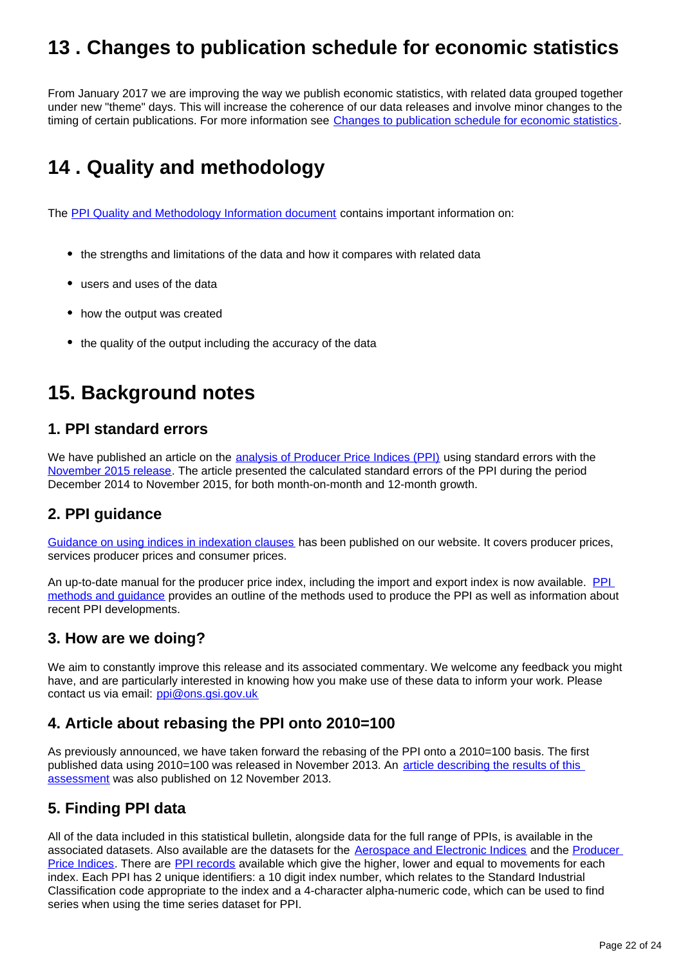## <span id="page-21-0"></span>**13 . Changes to publication schedule for economic statistics**

From January 2017 we are improving the way we publish economic statistics, with related data grouped together under new "theme" days. This will increase the coherence of our data releases and involve minor changes to the timing of certain publications. For more information see [Changes to publication schedule for economic statistics](https://www.ons.gov.uk/news/news/changestopublicationscheduleforeconomicstatistics).

# <span id="page-21-1"></span>**14 . Quality and methodology**

The [PPI Quality and Methodology Information document](http://www.ons.gov.uk/economy/inflationandpriceindices/qmis/producerpriceindicesqmi) contains important information on:

- the strengths and limitations of the data and how it compares with related data
- users and uses of the data
- how the output was created
- the quality of the output including the accuracy of the data

## **15. Background notes**

### **1. PPI standard errors**

We have published an article on the **[analysis of Producer Price Indices \(PPI\)](http://webarchive.nationalarchives.gov.uk/20160105160709/http:/www.ons.gov.uk/ons/rel/ppi2/producer-price-index/producer-price-standard-errors-2014/index.html)** using standard errors with the [November 2015 release.](http://www.ons.gov.uk/economy/inflationandpriceindices/bulletins/producerpriceinflation/november2015) The article presented the calculated standard errors of the PPI during the period December 2014 to November 2015, for both month-on-month and 12-month growth.

## **2. PPI guidance**

[Guidance on using indices in indexation clauses](https://www.ons.gov.uk/economy/inflationandpriceindices/qmis/producerpriceindicesqmi) has been published on our website. It covers producer prices, services producer prices and consumer prices.

An up-to-date manual for the producer price index, including the import and export index is now available. PPL [methods and guidance](https://www.ons.gov.uk/economy/inflationandpriceindices/qmis/producerpriceindicesqmi) provides an outline of the methods used to produce the PPI as well as information about recent PPI developments.

### **3. How are we doing?**

We aim to constantly improve this release and its associated commentary. We welcome any feedback you might have, and are particularly interested in knowing how you make use of these data to inform your work. Please contact us via email: ppi@ons.gsi.gov.uk

## **4. Article about rebasing the PPI onto 2010=100**

As previously announced, we have taken forward the rebasing of the PPI onto a 2010=100 basis. The first published data using 2010=100 was released in November 2013. An article describing the results of this [assessment](http://webarchive.nationalarchives.gov.uk/20160105160709/http:/www.ons.gov.uk/ons/rel/ppi2/producer-price-index/producer-price-index-rebasing--2010-100-/index.html) was also published on 12 November 2013.

## **5. Finding PPI data**

All of the data included in this statistical bulletin, alongside data for the full range of PPIs, is available in the associated datasets. Also available are the datasets for the [Aerospace and Electronic Indices](http://www.ons.gov.uk/economy/inflationandpriceindices/datasets/aerospaceandelectronicscostindices) and the [Producer](http://www.ons.gov.uk/economy/inflationandpriceindices/datasets/producerpriceindex)  [Price Indices.](http://www.ons.gov.uk/economy/inflationandpriceindices/datasets/producerpriceindex) There are [PPI records](https://www.ons.gov.uk/economy/inflationandpriceindices/datasets/producerpriceindicesrecords) available which give the higher, lower and equal to movements for each index. Each PPI has 2 unique identifiers: a 10 digit index number, which relates to the Standard Industrial Classification code appropriate to the index and a 4-character alpha-numeric code, which can be used to find series when using the time series dataset for PPI.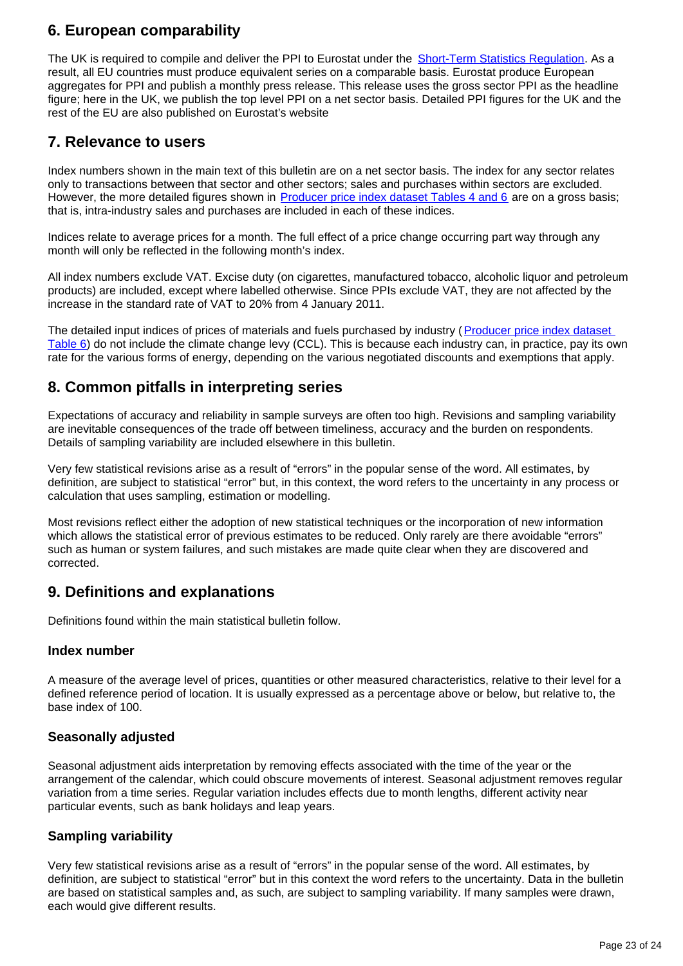### **6. European comparability**

The UK is required to compile and deliver the PPI to Eurostat under the **Short-Term Statistics Requiation**. As a result, all EU countries must produce equivalent series on a comparable basis. Eurostat produce European aggregates for PPI and publish a monthly press release. This release uses the gross sector PPI as the headline figure; here in the UK, we publish the top level PPI on a net sector basis. Detailed PPI figures for the UK and the rest of the EU are also published on Eurostat's website

### **7. Relevance to users**

Index numbers shown in the main text of this bulletin are on a net sector basis. The index for any sector relates only to transactions between that sector and other sectors; sales and purchases within sectors are excluded. However, the more detailed figures shown in **Producer price index dataset Tables 4 and 6** are on a gross basis; that is, intra-industry sales and purchases are included in each of these indices.

Indices relate to average prices for a month. The full effect of a price change occurring part way through any month will only be reflected in the following month's index.

All index numbers exclude VAT. Excise duty (on cigarettes, manufactured tobacco, alcoholic liquor and petroleum products) are included, except where labelled otherwise. Since PPIs exclude VAT, they are not affected by the increase in the standard rate of VAT to 20% from 4 January 2011.

The detailed input indices of prices of materials and fuels purchased by industry (Producer price index dataset [Table 6\)](http://www.ons.gov.uk/economy/inflationandpriceindices/datasets/producerpriceindexreferencetables) do not include the climate change levy (CCL). This is because each industry can, in practice, pay its own rate for the various forms of energy, depending on the various negotiated discounts and exemptions that apply.

## **8. Common pitfalls in interpreting series**

Expectations of accuracy and reliability in sample surveys are often too high. Revisions and sampling variability are inevitable consequences of the trade off between timeliness, accuracy and the burden on respondents. Details of sampling variability are included elsewhere in this bulletin.

Very few statistical revisions arise as a result of "errors" in the popular sense of the word. All estimates, by definition, are subject to statistical "error" but, in this context, the word refers to the uncertainty in any process or calculation that uses sampling, estimation or modelling.

Most revisions reflect either the adoption of new statistical techniques or the incorporation of new information which allows the statistical error of previous estimates to be reduced. Only rarely are there avoidable "errors" such as human or system failures, and such mistakes are made quite clear when they are discovered and corrected.

## **9. Definitions and explanations**

Definitions found within the main statistical bulletin follow.

### **Index number**

A measure of the average level of prices, quantities or other measured characteristics, relative to their level for a defined reference period of location. It is usually expressed as a percentage above or below, but relative to, the base index of 100.

### **Seasonally adjusted**

Seasonal adjustment aids interpretation by removing effects associated with the time of the year or the arrangement of the calendar, which could obscure movements of interest. Seasonal adjustment removes regular variation from a time series. Regular variation includes effects due to month lengths, different activity near particular events, such as bank holidays and leap years.

### **Sampling variability**

Very few statistical revisions arise as a result of "errors" in the popular sense of the word. All estimates, by definition, are subject to statistical "error" but in this context the word refers to the uncertainty. Data in the bulletin are based on statistical samples and, as such, are subject to sampling variability. If many samples were drawn, each would give different results.